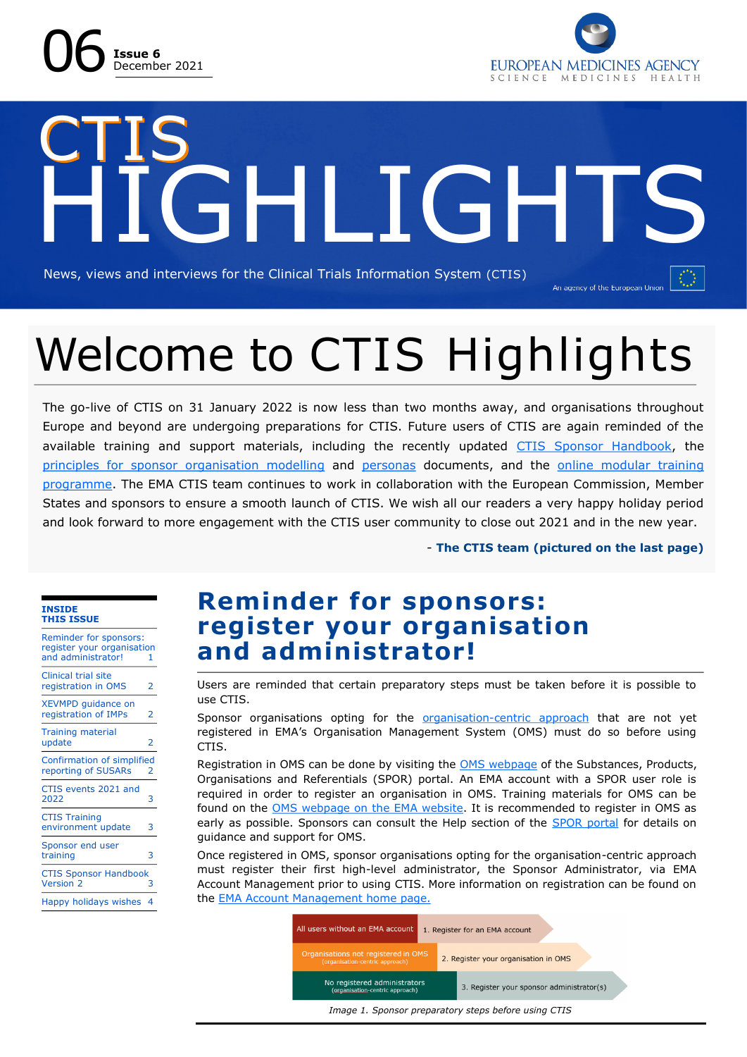



## CTIS **HILGH** News, views and interviews for the Clinical Trials Information System (CTIS) An agency of the European Union

## Welcome to CTIS Highlights

The go-live of CTIS on 31 January 2022 is now less than two months away, and organisations throughout Europe and beyond are undergoing preparations for CTIS. Future users of CTIS are again reminded of the available training and support materials, including the recently updated [CTIS Sponsor Handbook,](https://www.ema.europa.eu/en/human-regulatory/research-development/clinical-trials/clinical-trials-information-system-training-support#handbook-for-clinical-trial-sponsors-section) the [principles for sponsor organisation modelling](https://www.ema.europa.eu/en/human-regulatory/research-development/clinical-trials/clinical-trials-information-system-training-support#reference-materials-for-clinical-trial-sponsors-section) and [personas](https://www.ema.europa.eu/en/human-regulatory/research-development/clinical-trials/clinical-trials-information-system-training-support#reference-materials-for-clinical-trial-sponsors-section) documents, and the [online modular training](https://www.ema.europa.eu/en/human-regulatory/research-development/clinical-trials/clinical-trials-information-system-ctis-online-modular-training-programme)  [programme.](https://www.ema.europa.eu/en/human-regulatory/research-development/clinical-trials/clinical-trials-information-system-ctis-online-modular-training-programme) The EMA CTIS team continues to work in collaboration with the European Commission, Member States and sponsors to ensure a smooth launch of CTIS. We wish all our readers a very happy holiday period and look forward to more engagement with the CTIS user community to close out 2021 and in the new year.

- **The CTIS team (pictured on the last page)**

#### **INSIDE THIS ISSUE**

| <b>Reminder for sponsors:</b><br>register your organisation<br>and administrator! | 1 |
|-----------------------------------------------------------------------------------|---|
| <b>Clinical trial site</b><br>registration in OMS                                 | 2 |
| XEVMPD guidance on<br>registration of IMPs                                        | 2 |
| <b>Training material</b><br>update                                                | 2 |
| Confirmation of simplified<br>reporting of SUSARs                                 | 2 |
| CTIS events 2021 and<br>2022                                                      | 3 |
| <b>CTIS Training</b><br>environment update                                        | 3 |
| Sponsor end user<br>training                                                      | 3 |
| <b>CTIS Sponsor Handbook</b><br><b>Version 2</b>                                  | 3 |
| Happy holidays wishes                                                             | 4 |

#### **Reminder for sponsors: register your organisation and administrator!**

Users are reminded that certain preparatory steps must be taken before it is possible to use CTIS.

Sponsor organisations opting for the organisation-[centric approach](https://www.youtube.com/watch?v=hfzZxwX2W-Y) that are not yet registered in EMA's Organisation Management System (OMS) must do so before using CTIS.

Registration in OMS can be done by visiting the [OMS webpage](https://spor.ema.europa.eu/sporwi/) of the Substances, Products, Organisations and Referentials (SPOR) portal. An EMA account with a SPOR user role is required in order to register an organisation in OMS. Training materials for OMS can be found on the [OMS webpage on the EMA website.](https://www.ema.europa.eu/en/human-regulatory/research-development/data-medicines-iso-idmp-standards/spor-master-data/organisation-management-service-oms) It is recommended to register in OMS as early as possible. Sponsors can consult the Help section of the [SPOR portal](https://spor.ema.europa.eu/omswi/#/) for details on guidance and support for OMS.

Once registered in OMS, sponsor organisations opting for the organisation-centric approach must register their first high-level administrator, the Sponsor Administrator, via EMA Account Management prior to using CTIS. More information on registration can be found on the **EMA Account Management home page.** 

| All users without an EMA account                                       |  | 1. Register for an EMA account            |  |  |
|------------------------------------------------------------------------|--|-------------------------------------------|--|--|
| Organisations not registered in OMS<br>(organisation-centric approach) |  | 2. Register your organisation in OMS      |  |  |
| No registered administrators<br>(organisation-centric approach)        |  | 3. Register your sponsor administrator(s) |  |  |
| Image 1. Sponsor preparatory steps before using CTIS                   |  |                                           |  |  |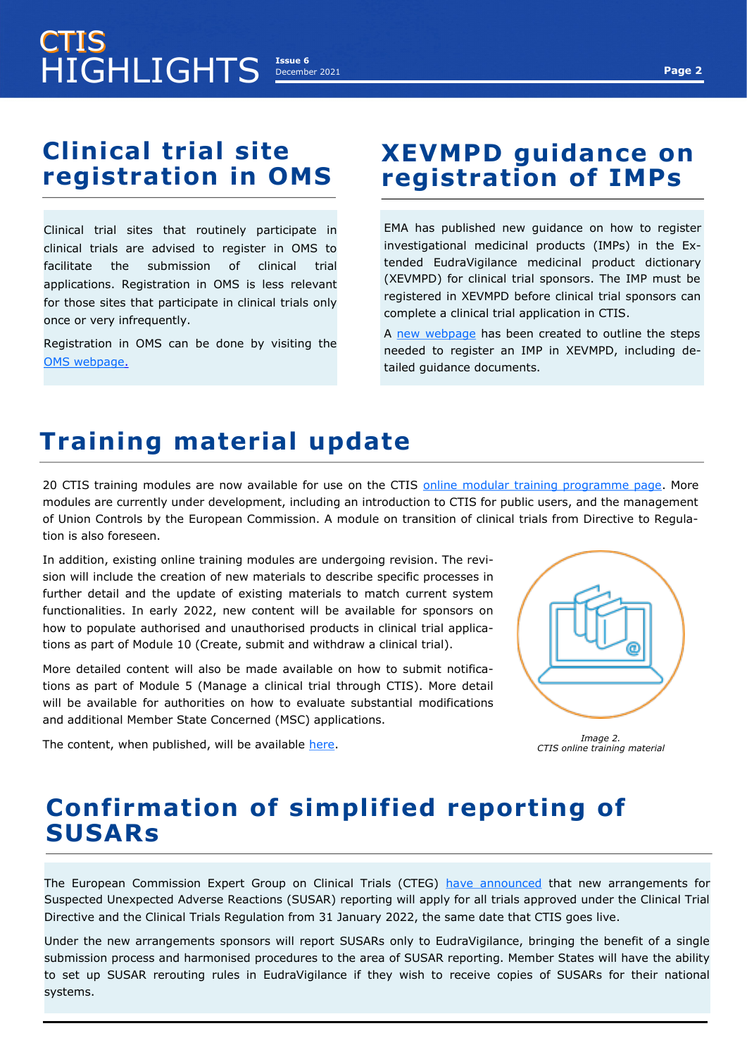#### **Clinical trial site registration in OMS**

Clinical trial sites that routinely participate in clinical trials are advised to register in OMS to facilitate the submission of clinical trial applications. Registration in OMS is less relevant for those sites that participate in clinical trials only once or very infrequently.

Registration in OMS can be done by visiting the [OMS webpage.](https://spor.ema.europa.eu/omswi/#/)

#### **XEVMPD guidance on registration of IMPs**

EMA has published new guidance on how to register investigational medicinal products (IMPs) in the Extended EudraVigilance medicinal product dictionary (XEVMPD) for clinical trial sponsors. The IMP must be registered in XEVMPD before clinical trial sponsors can complete a clinical trial application in CTIS.

A [new webpage](https://www.ema.europa.eu/en/human-regulatory/research-development/clinical-trials/data-submission-investigational-medicines-guidance-clinical-trial-sponsors) has been created to outline the steps needed to register an IMP in XEVMPD, including detailed guidance documents.

### **Training material update**

20 CTIS training modules are now available for use on the CTIS [online modular training programme page.](https://www.ema.europa.eu/en/human-regulatory/research-development/clinical-trials/clinical-trials-information-system-ctis-online-modular-training-programme) More modules are currently under development, including an introduction to CTIS for public users, and the management of Union Controls by the European Commission. A module on transition of clinical trials from Directive to Regulation is also foreseen.

In addition, existing online training modules are undergoing revision. The revision will include the creation of new materials to describe specific processes in further detail and the update of existing materials to match current system functionalities. In early 2022, new content will be available for sponsors on how to populate authorised and unauthorised products in clinical trial applications as part of Module 10 (Create, submit and withdraw a clinical trial).

More detailed content will also be made available on how to submit notifications as part of Module 5 (Manage a clinical trial through CTIS). More detail will be available for authorities on how to evaluate substantial modifications and additional Member State Concerned (MSC) applications.

The content, when published, will be available [here.](https://www.ema.europa.eu/en/human-regulatory/research-development/clinical-trials/clinical-trials-information-system-ctis-online-modular-training-programme)

*Image 2. CTIS online training material*

#### **Confirmation of simplified reporting of SUSARs**

The European Commission Expert Group on Clinical Trials (CTEG) [have announced](https://ec.europa.eu/transparency/expert-groups-register/screen/meetings/consult?lang=en&meetingId=28895&fromExpertGroups=true) that new arrangements for Suspected Unexpected Adverse Reactions (SUSAR) reporting will apply for all trials approved under the Clinical Trial Directive and the Clinical Trials Regulation from 31 January 2022, the same date that CTIS goes live.

Under the new arrangements sponsors will report SUSARs only to EudraVigilance, bringing the benefit of a single submission process and harmonised procedures to the area of SUSAR reporting. Member States will have the ability to set up SUSAR rerouting rules in EudraVigilance if they wish to receive copies of SUSARs for their national systems.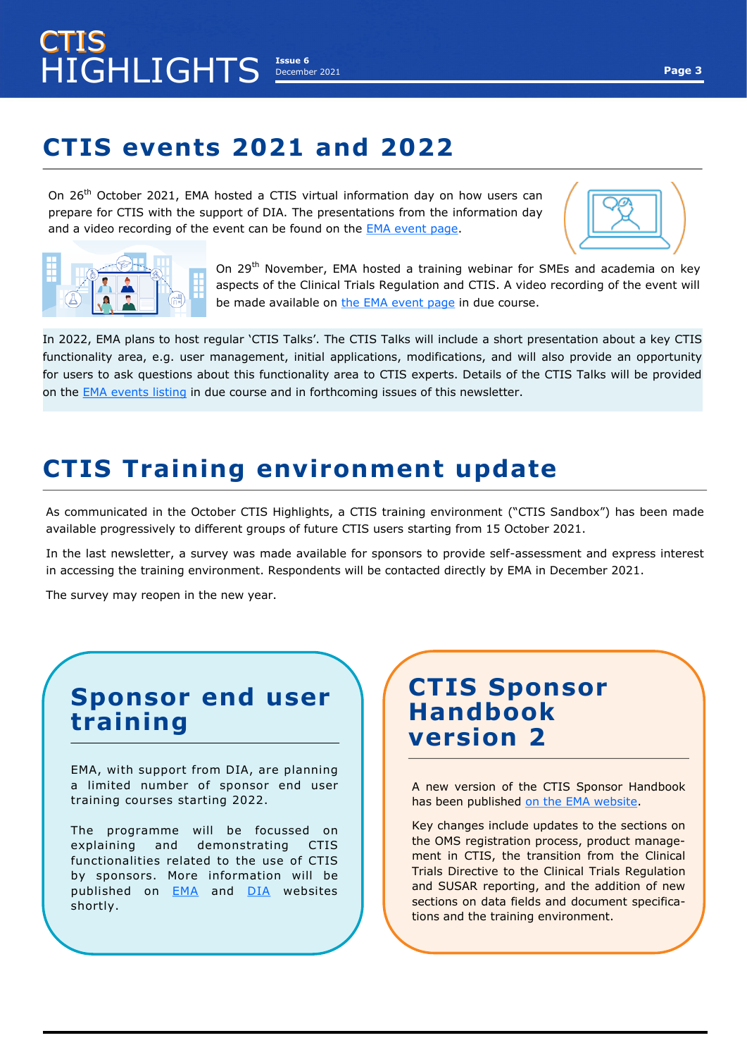## **CTIS events 2021 and 2022**

On 26<sup>th</sup> October 2021, EMA hosted a CTIS virtual information day on how users can prepare for CTIS with the support of DIA. The presentations from the information day and a video recording of the event can be found on the [EMA event page.](https://www.ema.europa.eu/en/events/clinical-trials-information-system-ctis-virtual-information-day)





On 29<sup>th</sup> November, EMA hosted a training webinar for SMEs and academia on key aspects of the Clinical Trials Regulation and CTIS. A video recording of the event will be made available on the EMA [event page](https://www.ema.europa.eu/en/events/webinar-small-medium-sized-enterprises-smes-academia-clinical-trials-regulation-clinical-trials) in due course.

In 2022, EMA plans to host regular 'CTIS Talks'. The CTIS Talks will include a short presentation about a key CTIS functionality area, e.g. user management, initial applications, modifications, and will also provide an opportunity for users to ask questions about this functionality area to CTIS experts. Details of the CTIS Talks will be provided on the [EMA events listing](https://www.ema.europa.eu/en/search/search/ema_editorial_content/ema_event?search_api_views_fulltext=ctis) in due course and in forthcoming issues of this newsletter.

### **CTIS Training environment update**

As communicated in the October CTIS Highlights, a CTIS training environment ("CTIS Sandbox") has been made available progressively to different groups of future CTIS users starting from 15 October 2021.

In the last newsletter, a survey was made available for sponsors to provide self-assessment and express interest in accessing the training environment. Respondents will be contacted directly by EMA in December 2021.

The survey may reopen in the new year.

#### **Sponsor end user training**

EMA, with support from DIA, are planning a limited number of sponsor end user training courses starting 2022.

The programme will be focussed on explaining and demonstrating CTIS functionalities related to the use of CTIS by sponsors. More information will be published on [EMA](https://www.ema.europa.eu/en/search/search/ema_editorial_content/ema_event?sort=field_ema_computed_date_field&order=desc) and [DIA](https://www.diaglobal.org/EMA/course-listing) websites shortly.

#### **CTIS Sponsor Handbook version 2**

A new version of the CTIS Sponsor Handbook has been published [on the EMA website.](https://www.ema.europa.eu/en/human-regulatory/research-development/clinical-trials/clinical-trials-information-system-training-support#handbook-for-clinical-trial-sponsors-section)

Key changes include updates to the sections on the OMS registration process, product management in CTIS, the transition from the Clinical Trials Directive to the Clinical Trials Regulation and SUSAR reporting, and the addition of new sections on data fields and document specifications and the training environment.